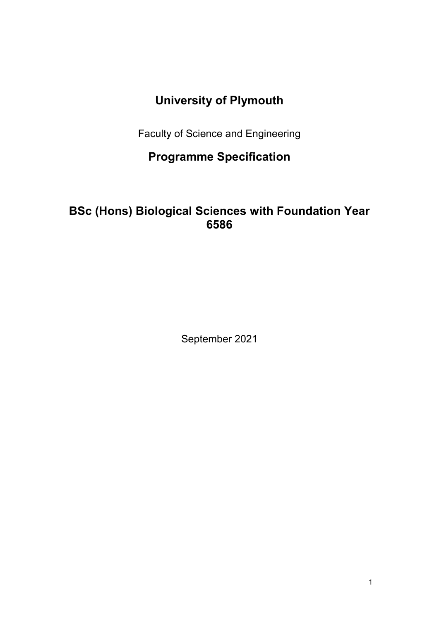# **University of Plymouth**

Faculty of Science and Engineering

**Programme Specification**

# **BSc (Hons) Biological Sciences with Foundation Year 6586**

September 2021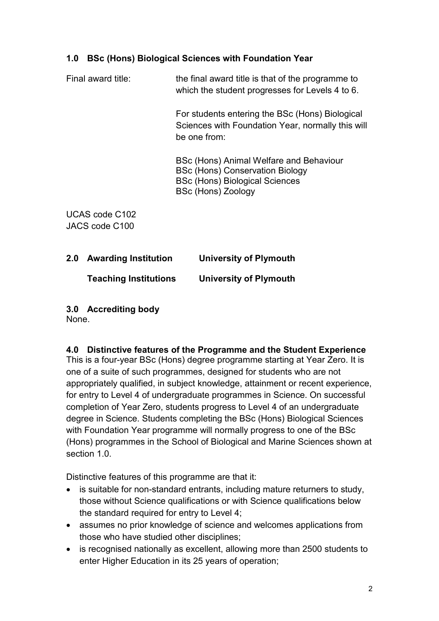## **1.0 BSc (Hons) Biological Sciences with Foundation Year**

Final award title: the final award title is that of the programme to which the student progresses for Levels 4 to 6.

> For students entering the BSc (Hons) Biological Sciences with Foundation Year, normally this will be one from:

BSc (Hons) Animal Welfare and Behaviour BSc (Hons) Conservation Biology BSc (Hons) Biological Sciences BSc (Hons) Zoology

UCAS code C102 JACS code C100

**2.0 Awarding Institution University of Plymouth Teaching Institutions University of Plymouth**

# **3.0 Accrediting body**

None.

#### **4.0 Distinctive features of the Programme and the Student Experience**

This is a four-year BSc (Hons) degree programme starting at Year Zero. It is one of a suite of such programmes, designed for students who are not appropriately qualified, in subject knowledge, attainment or recent experience, for entry to Level 4 of undergraduate programmes in Science. On successful completion of Year Zero, students progress to Level 4 of an undergraduate degree in Science. Students completing the BSc (Hons) Biological Sciences with Foundation Year programme will normally progress to one of the BSc (Hons) programmes in the School of Biological and Marine Sciences shown at section 1.0

Distinctive features of this programme are that it:

- is suitable for non-standard entrants, including mature returners to study, those without Science qualifications or with Science qualifications below the standard required for entry to Level 4;
- assumes no prior knowledge of science and welcomes applications from those who have studied other disciplines;
- is recognised nationally as excellent, allowing more than 2500 students to enter Higher Education in its 25 years of operation;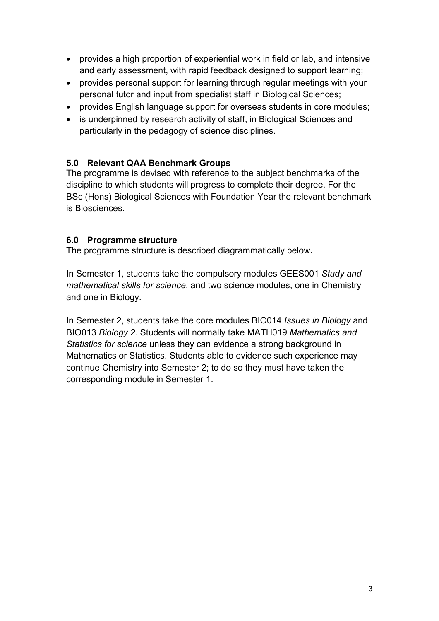- provides a high proportion of experiential work in field or lab, and intensive and early assessment, with rapid feedback designed to support learning;
- provides personal support for learning through regular meetings with your personal tutor and input from specialist staff in Biological Sciences;
- provides English language support for overseas students in core modules;
- is underpinned by research activity of staff, in Biological Sciences and particularly in the pedagogy of science disciplines.

## **5.0 Relevant QAA Benchmark Groups**

The programme is devised with reference to the subject benchmarks of the discipline to which students will progress to complete their degree. For the BSc (Hons) Biological Sciences with Foundation Year the relevant benchmark is [Biosciences.](http://www.qaa.ac.uk/en/Publications/Documents/Subject-benchmark-statement-Biosciences.pdf)

#### **6.0 Programme structure**

The programme structure is described diagrammatically below**.**

In Semester 1, students take the compulsory modules GEES001 *Study and mathematical skills for science*, and two science modules, one in Chemistry and one in Biology.

In Semester 2, students take the core modules BIO014 *Issues in Biology* and BIO013 *Biology 2.* Students will normally take MATH019 *Mathematics and Statistics for science* unless they can evidence a strong background in Mathematics or Statistics. Students able to evidence such experience may continue Chemistry into Semester 2; to do so they must have taken the corresponding module in Semester 1.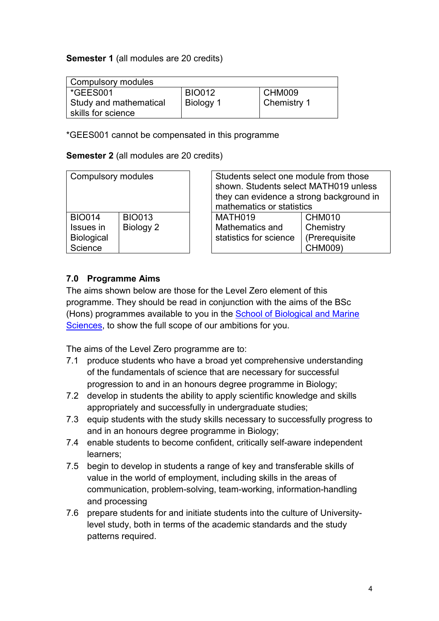#### **Semester 1** (all modules are 20 credits)

| Compulsory modules     |               |             |  |
|------------------------|---------------|-------------|--|
| *GEES001               | <b>BIO012</b> | CHM009      |  |
| Study and mathematical | Biology 1     | Chemistry 1 |  |
| skills for science     |               |             |  |

\*GEES001 cannot be compensated in this programme

#### **Semester 2** (all modules are 20 credits)

| <b>Compulsory modules</b> |               | Students select one module from those<br>shown. Students select MATH019 unless<br>they can evidence a strong background in<br>mathematics or statistics |                        |               |
|---------------------------|---------------|---------------------------------------------------------------------------------------------------------------------------------------------------------|------------------------|---------------|
| <b>BIO014</b>             | <b>BIO013</b> |                                                                                                                                                         | MATH019                | CHM010        |
| Issues in                 | Biology 2     |                                                                                                                                                         | Mathematics and        | Chemistry     |
| <b>Biological</b>         |               |                                                                                                                                                         | statistics for science | (Prerequisite |
| Science                   |               |                                                                                                                                                         |                        | CHM009)       |

#### **7.0 Programme Aims**

The aims shown below are those for the Level Zero element of this programme. They should be read in conjunction with the aims of the BSc (Hons) programmes available to you in the School of Biological and Marine Sciences, to show the full scope of our ambitions for you.

The aims of the Level Zero programme are to:

- 7.1 produce students who have a broad yet comprehensive understanding of the fundamentals of science that are necessary for successful progression to and in an honours degree programme in Biology;
- 7.2 develop in students the ability to apply scientific knowledge and skills appropriately and successfully in undergraduate studies;
- 7.3 equip students with the study skills necessary to successfully progress to and in an honours degree programme in Biology;
- 7.4 enable students to become confident, critically self-aware independent learners;
- 7.5 begin to develop in students a range of key and transferable skills of value in the world of employment, including skills in the areas of communication, problem-solving, team-working, information-handling and processing
- 7.6 prepare students for and initiate students into the culture of Universitylevel study, both in terms of the academic standards and the study patterns required.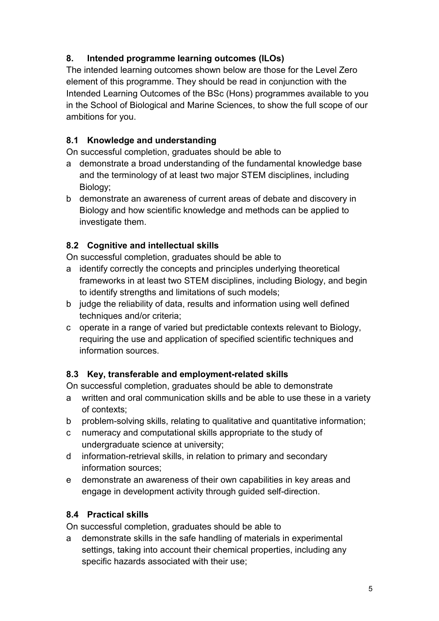# **8. Intended programme learning outcomes (ILOs)**

The intended learning outcomes shown below are those for the Level Zero element of this programme. They should be read in conjunction with the Intended Learning Outcomes of the BSc (Hons) programmes available to you in the School of Biological and Marine Sciences, to show the full scope of our ambitions for you.

# **8.1 Knowledge and understanding**

On successful completion, graduates should be able to

- a demonstrate a broad understanding of the fundamental knowledge base and the terminology of at least two major STEM disciplines, including Biology;
- b demonstrate an awareness of current areas of debate and discovery in Biology and how scientific knowledge and methods can be applied to investigate them.

# **8.2 Cognitive and intellectual skills**

On successful completion, graduates should be able to

- a identify correctly the concepts and principles underlying theoretical frameworks in at least two STEM disciplines, including Biology, and begin to identify strengths and limitations of such models;
- b judge the reliability of data, results and information using well defined techniques and/or criteria;
- c operate in a range of varied but predictable contexts relevant to Biology, requiring the use and application of specified scientific techniques and information sources.

## **8.3 Key, transferable and employment-related skills**

On successful completion, graduates should be able to demonstrate

- a written and oral communication skills and be able to use these in a variety of contexts;
- b problem-solving skills, relating to qualitative and quantitative information;
- c numeracy and computational skills appropriate to the study of undergraduate science at university;
- d information-retrieval skills, in relation to primary and secondary information sources;
- e demonstrate an awareness of their own capabilities in key areas and engage in development activity through guided self-direction.

# **8.4 Practical skills**

On successful completion, graduates should be able to

a demonstrate skills in the safe handling of materials in experimental settings, taking into account their chemical properties, including any specific hazards associated with their use;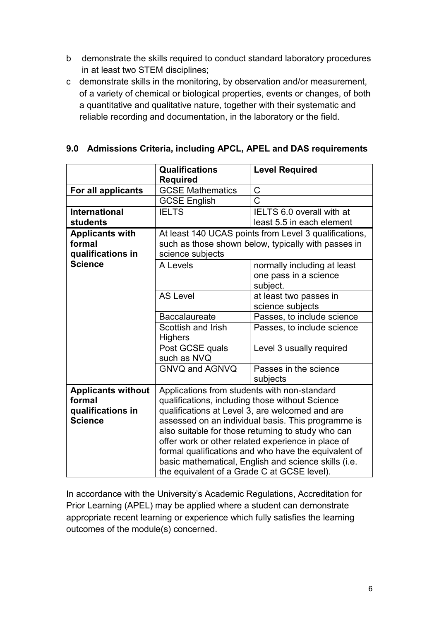- b demonstrate the skills required to conduct standard laboratory procedures in at least two STEM disciplines;
- c demonstrate skills in the monitoring, by observation and/or measurement, of a variety of chemical or biological properties, events or changes, of both a quantitative and qualitative nature, together with their systematic and reliable recording and documentation, in the laboratory or the field.

|                                                      | <b>Level Required</b>                                                                                                                                                                                                                        |  |  |
|------------------------------------------------------|----------------------------------------------------------------------------------------------------------------------------------------------------------------------------------------------------------------------------------------------|--|--|
|                                                      |                                                                                                                                                                                                                                              |  |  |
|                                                      | C                                                                                                                                                                                                                                            |  |  |
|                                                      | Ć                                                                                                                                                                                                                                            |  |  |
|                                                      | IELTS 6.0 overall with at                                                                                                                                                                                                                    |  |  |
|                                                      | least 5.5 in each element                                                                                                                                                                                                                    |  |  |
|                                                      | At least 140 UCAS points from Level 3 qualifications,                                                                                                                                                                                        |  |  |
|                                                      | such as those shown below, typically with passes in                                                                                                                                                                                          |  |  |
| science subjects                                     |                                                                                                                                                                                                                                              |  |  |
| A Levels                                             | normally including at least                                                                                                                                                                                                                  |  |  |
|                                                      | one pass in a science                                                                                                                                                                                                                        |  |  |
|                                                      | subject.                                                                                                                                                                                                                                     |  |  |
|                                                      | at least two passes in                                                                                                                                                                                                                       |  |  |
|                                                      | science subjects                                                                                                                                                                                                                             |  |  |
| <b>Baccalaureate</b>                                 | Passes, to include science                                                                                                                                                                                                                   |  |  |
| Scottish and Irish                                   | Passes, to include science                                                                                                                                                                                                                   |  |  |
| <b>Highers</b>                                       |                                                                                                                                                                                                                                              |  |  |
|                                                      | Level 3 usually required                                                                                                                                                                                                                     |  |  |
| such as NVQ                                          |                                                                                                                                                                                                                                              |  |  |
| GNVQ and AGNVQ                                       | Passes in the science                                                                                                                                                                                                                        |  |  |
|                                                      | subjects                                                                                                                                                                                                                                     |  |  |
|                                                      |                                                                                                                                                                                                                                              |  |  |
|                                                      |                                                                                                                                                                                                                                              |  |  |
| qualifications at Level 3, are welcomed and are      |                                                                                                                                                                                                                                              |  |  |
| assessed on an individual basis. This programme is   |                                                                                                                                                                                                                                              |  |  |
| also suitable for those returning to study who can   |                                                                                                                                                                                                                                              |  |  |
| offer work or other related experience in place of   |                                                                                                                                                                                                                                              |  |  |
| formal qualifications and who have the equivalent of |                                                                                                                                                                                                                                              |  |  |
| basic mathematical, English and science skills (i.e. |                                                                                                                                                                                                                                              |  |  |
| the equivalent of a Grade C at GCSE level).          |                                                                                                                                                                                                                                              |  |  |
|                                                      | <b>Qualifications</b><br>Required<br><b>GCSE Mathematics</b><br><b>GCSE English</b><br><b>IELTS</b><br><b>AS Level</b><br>Post GCSE quals<br>Applications from students with non-standard<br>qualifications, including those without Science |  |  |

### **9.0 Admissions Criteria, including APCL, APEL and DAS requirements**

In accordance with the University's Academic Regulations, Accreditation for Prior Learning (APEL) may be applied where a student can demonstrate appropriate recent learning or experience which fully satisfies the learning outcomes of the module(s) concerned.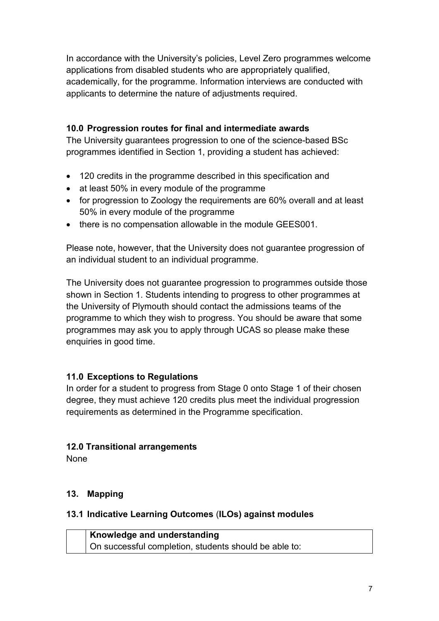In accordance with the University's policies, Level Zero programmes welcome applications from disabled students who are appropriately qualified, academically, for the programme. Information interviews are conducted with applicants to determine the nature of adjustments required.

## **10.0 Progression routes for final and intermediate awards**

The University guarantees progression to one of the science-based BSc programmes identified in Section 1, providing a student has achieved:

- 120 credits in the programme described in this specification and
- at least 50% in every module of the programme
- for progression to Zoology the requirements are 60% overall and at least 50% in every module of the programme
- there is no compensation allowable in the module GEES001.

Please note, however, that the University does not guarantee progression of an individual student to an individual programme.

The University does not guarantee progression to programmes outside those shown in Section 1. Students intending to progress to other programmes at the University of Plymouth should contact the admissions teams of the programme to which they wish to progress. You should be aware that some programmes may ask you to apply through UCAS so please make these enquiries in good time.

## **11.0 Exceptions to Regulations**

In order for a student to progress from Stage 0 onto Stage 1 of their chosen degree, they must achieve 120 credits plus meet the individual progression requirements as determined in the Programme specification.

## **12.0 Transitional arrangements**

None

## **13. Mapping**

#### **13.1 Indicative Learning Outcomes** (**ILOs) against modules**

**Knowledge and understanding** On successful completion, students should be able to: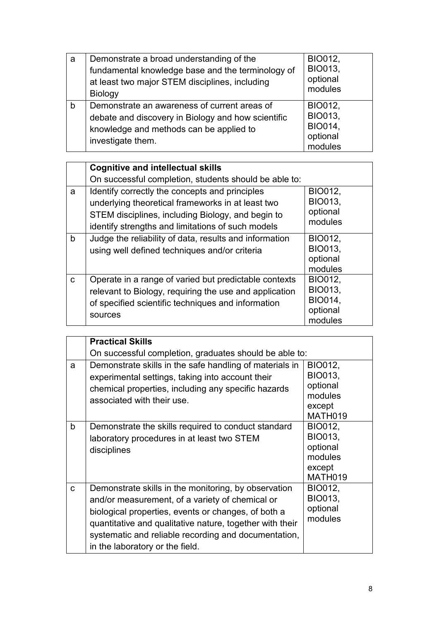| a | Demonstrate a broad understanding of the<br>fundamental knowledge base and the terminology of<br>at least two major STEM disciplines, including<br><b>Biology</b>  | <b>BIO012,</b><br><b>BIO013,</b><br>optional<br>modules            |
|---|--------------------------------------------------------------------------------------------------------------------------------------------------------------------|--------------------------------------------------------------------|
| b | Demonstrate an awareness of current areas of<br>debate and discovery in Biology and how scientific<br>knowledge and methods can be applied to<br>investigate them. | BIO012,<br><b>BIO013,</b><br><b>BIO014,</b><br>optional<br>modules |

|    | <b>Cognitive and intellectual skills</b>                                                                                                                                                                      |                                                                           |
|----|---------------------------------------------------------------------------------------------------------------------------------------------------------------------------------------------------------------|---------------------------------------------------------------------------|
|    | On successful completion, students should be able to:                                                                                                                                                         |                                                                           |
| a  | Identify correctly the concepts and principles<br>underlying theoretical frameworks in at least two<br>STEM disciplines, including Biology, and begin to<br>identify strengths and limitations of such models | BIO012,<br><b>BIO013,</b><br>optional<br>modules                          |
| b  | Judge the reliability of data, results and information<br>using well defined techniques and/or criteria                                                                                                       | BIO012,<br><b>BIO013,</b><br>optional<br>modules                          |
| C. | Operate in a range of varied but predictable contexts<br>relevant to Biology, requiring the use and application<br>of specified scientific techniques and information<br>sources                              | <b>BIO012,</b><br><b>BIO013,</b><br><b>BIO014,</b><br>optional<br>modules |

|              | <b>Practical Skills</b>                                                                                                                                                                                                                                                                                               |                                                                              |  |  |
|--------------|-----------------------------------------------------------------------------------------------------------------------------------------------------------------------------------------------------------------------------------------------------------------------------------------------------------------------|------------------------------------------------------------------------------|--|--|
|              | On successful completion, graduates should be able to:                                                                                                                                                                                                                                                                |                                                                              |  |  |
| a            | Demonstrate skills in the safe handling of materials in<br>experimental settings, taking into account their<br>chemical properties, including any specific hazards<br>associated with their use.                                                                                                                      | <b>BIO012,</b><br><b>BIO013,</b><br>optional<br>modules<br>except<br>MATH019 |  |  |
| $\mathsf b$  | Demonstrate the skills required to conduct standard<br>laboratory procedures in at least two STEM<br>disciplines                                                                                                                                                                                                      | BIO012,<br>BIO013,<br>optional<br>modules<br>except<br>MATH019               |  |  |
| $\mathbf{C}$ | Demonstrate skills in the monitoring, by observation<br>and/or measurement, of a variety of chemical or<br>biological properties, events or changes, of both a<br>quantitative and qualitative nature, together with their<br>systematic and reliable recording and documentation,<br>in the laboratory or the field. | <b>BIO012,</b><br>BIO013,<br>optional<br>modules                             |  |  |